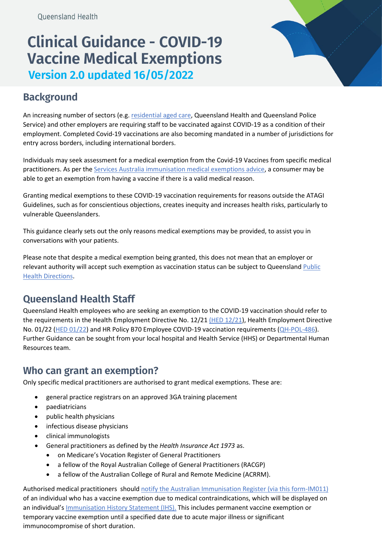# **Clinical Guidance - COVID-19 Vaccine Medical Exemptions Version 2.0 updated 16/05/2022**



## **Background**

An increasing number of sectors (e.g[. residential aged care,](https://www.health.gov.au/initiatives-and-programs/covid-19-vaccines/information-for-aged-care-providers-workers-and-residents-about-covid-19-vaccines/residential-aged-care-workers) Queensland Health and Queensland Police Service) and other employers are requiring staff to be vaccinated against COVID-19 as a condition of their employment. Completed Covid-19 vaccinations are also becoming mandated in a number of jurisdictions for entry across borders, including international borders.

Individuals may seek assessment for a medical exemption from the Covid-19 Vaccines from specific medical practitioners. As per th[e Services Australia immunisation medical exemptions advice,](https://www.servicesaustralia.gov.au/individuals/topics/immunisation-medical-exemptions/40531) a consumer may be able to get an exemption from having a vaccine if there is a valid medical reason.

Granting medical exemptions to these COVID-19 vaccination requirements for reasons outside the ATAGI Guidelines, such as for conscientious objections, creates inequity and increases health risks, particularly to vulnerable Queenslanders.

This guidance clearly sets out the only reasons medical exemptions may be provided, to assist you in conversations with your patients.

Please note that despite a medical exemption being granted, this does not mean that an employer or relevant authority will accept such exemption as vaccination status can be subject to Queenslan[d Public](https://www.health.qld.gov.au/system-governance/legislation/cho-public-health-directions-under-expanded-public-health-act-powers/designated-covid-19-hospital-network-direction)  [Health Directions.](https://www.health.qld.gov.au/system-governance/legislation/cho-public-health-directions-under-expanded-public-health-act-powers/designated-covid-19-hospital-network-direction)

### **Queensland Health Staff**

Queensland Health employees who are seeking an exemption to the COVID-19 vaccination should refer to the requirements in the Health Employment Directive No. 12/21 [\(HED 12/21\)](https://www.health.qld.gov.au/__data/assets/pdf_file/0022/1108453/hed-1221.pdf), Health Employment Directive No. 01/22 [\(HED 01/22\)](https://www.health.qld.gov.au/__data/assets/pdf_file/0031/1140988/hed-0122.pdf) and HR Policy B70 Employee COVID-19 vaccination requirements [\(QH-POL-486\)](https://www.health.qld.gov.au/__data/assets/pdf_file/0024/1108446/qh-pol-486.pdf). Further Guidance can be sought from your local hospital and Health Service (HHS) or Departmental Human Resources team.

#### **Who can grant an exemption?**

Only specific medical practitioners are authorised to grant medical exemptions. These are:

- general practice registrars on an approved 3GA training placement
- paediatricians
- public health physicians
- infectious disease physicians
- clinical immunologists
- General practitioners as defined by the *Health Insurance Act 1973* as.
	- on Medicare's Vocation Register of General Practitioners
	- a fellow of the Royal Australian College of General Practitioners (RACGP)
	- a fellow of the Australian College of Rural and Remote Medicine (ACRRM).

Authorised medical practitioners should [notify the Australian Immunisation Register \(via this form-IM011\)](https://www.servicesaustralia.gov.au/organisations/health-professionals/forms/im011) of an individual who has a vaccine exemption due to medical contraindications, which will be displayed on an individual'[s Immunisation History Statement \(IHS\).](https://www.servicesaustralia.gov.au/individuals/services/medicare/australian-immunisation-register/what-immunisation-history-statement) This includes permanent vaccine exemption or temporary vaccine exemption until a specified date due to acute major illness or significant immunocompromise of short duration.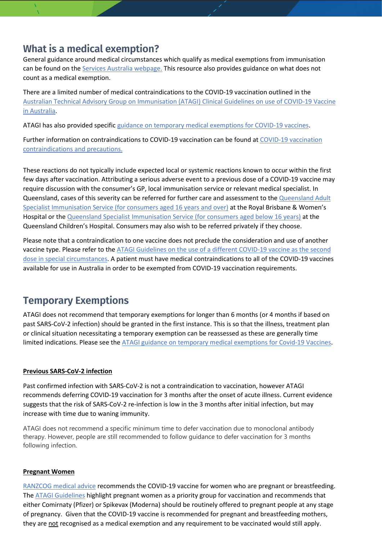### **What is a medical exemption?**

General guidance around medical circumstances which qualify as medical exemptions from immunisation can be found on the [Services Australia webpage.](https://www.servicesaustralia.gov.au/individuals/topics/immunisation-medical-exemptions/40531) This resource also provides guidance on what does not count as a medical exemption.

There are a limited number of medical contraindications to the COVID-19 vaccination outlined in the [Australian Technical Advisory Group on Immunisation \(ATAGI\) Clinical Guidelines on use of COVID-19 Vaccine](https://www.health.gov.au/resources/publications/covid-19-vaccination-atagi-clinical-guidance-on-covid-19-vaccine-in-australia-in-2021)  [in Australia.](https://www.health.gov.au/resources/publications/covid-19-vaccination-atagi-clinical-guidance-on-covid-19-vaccine-in-australia-in-2021)

ATAGI has also provided specifi[c guidance on temporary medical exemptions for COVID-19 vaccines.](https://www.health.gov.au/resources/publications/atagi-expanded-guidance-on-temporary-medical-exemptions-for-covid-19-vaccines)

Further information on contraindications to COVID-19 vaccination can be found at [COVID-19 vaccination](https://www.health.gov.au/initiatives-and-programs/covid-19-vaccines/advice-for-providers/clinical-guidance/contraindications-and-precautions)  [contraindications and precautions.](https://www.health.gov.au/initiatives-and-programs/covid-19-vaccines/advice-for-providers/clinical-guidance/contraindications-and-precautions)

These reactions do not typically include expected local or systemic reactions known to occur within the first few days after vaccination. Attributing a serious adverse event to a previous dose of a COVID-19 vaccine may require discussion with the consumer's GP, local immunisation service or relevant medical specialist. In Queensland, cases of this severity can be referred for further care and assessment to the Queensland Adult [Specialist Immunisation Service \(for consumers aged 16 years](https://metronorth.health.qld.gov.au/refer-your-patient/vaccination-referrals) and over) at the Royal Brisbane & Women's Hospital or the [Queensland Specialist Immunisation Service \(for consumers aged below 16 years\)](https://www.childrens.health.qld.gov.au/service-qsis-info-for-health-professionals/) at the Queensland Children's Hospital. Consumers may also wish to be referred privately if they choose.

Please note that a contraindication to one vaccine does not preclude the consideration and use of another vaccine type. Please refer to the [ATAGI Guidelines on the use of a different COVID-19 vaccine as the second](https://www.health.gov.au/resources/publications/covid-19-vaccination-clinical-advice-on-the-use-of-a-different-covid-19-vaccine-as-the-second-dose)  [dose in special circumstances.](https://www.health.gov.au/resources/publications/covid-19-vaccination-clinical-advice-on-the-use-of-a-different-covid-19-vaccine-as-the-second-dose) A patient must have medical contraindications to all of the COVID-19 vaccines available for use in Australia in order to be exempted from COVID-19 vaccination requirements.

### **Temporary Exemptions**

ATAGI does not recommend that temporary exemptions for longer than 6 months (or 4 months if based on past SARS-CoV-2 infection) should be granted in the first instance. This is so that the illness, treatment plan or clinical situation necessitating a temporary exemption can be reassessed as these are generally time limited indications. Please see the [ATAGI guidance on temporary medical exemptions for Covid-19 Vaccines.](https://www.health.gov.au/resources/publications/atagi-expanded-guidance-on-temporary-medical-exemptions-for-covid-19-vaccines)

#### **Previous SARS-CoV-2 infection**

Past confirmed infection with SARS-CoV-2 is not a contraindication to vaccination, however ATAGI recommends deferring COVID-19 vaccination for 3 months after the onset of acute illness. Current evidence suggests that the risk of SARS-CoV-2 re-infection is low in the 3 months after initial infection, but may increase with time due to waning immunity.

ATAGI does not recommend a specific minimum time to defer vaccination due to monoclonal antibody therapy. However, people are still recommended to follow guidance to defer vaccination for 3 months following infection.

#### **Pregnant Women**

[RANZCOG medical advice](https://ranzcog.edu.au/statements-guidelines/covid-19-statement/covid-19-vaccination-information) recommends the COVID-19 vaccine for women who are pregnant or breastfeeding. The [ATAGI Guidelines](https://www.health.gov.au/resources/publications/covid-19-vaccination-shared-decision-making-guide-for-women-who-are-pregnant-breastfeeding-or-planning-pregnancy) highlight pregnant women as a priority group for vaccination and recommends that either Comirnaty (Pfizer) or Spikevax (Moderna) should be routinely offered to pregnant people at any stage of pregnancy. Given that the COVID-19 vaccine is recommended for pregnant and breastfeeding mothers, they are not recognised as a medical exemption and any requirement to be vaccinated would still apply.